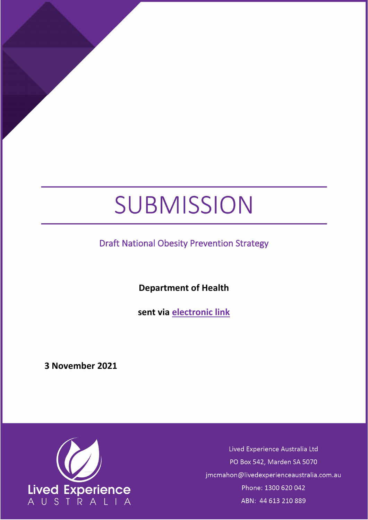# SUBMISSION

Draft National Obesity Prevention Strategy

**Department of Health**

**sent via [electronic](mailto:mhwa@health.vic.gov.au) link**

**3 November 2021**



Lived Experience Australia Ltd PO Box 542, Marden SA 5070 jmcmahon@livedexperienceaustralia.com.au Phone: 1300 620 042 ABN: 44 613 210 889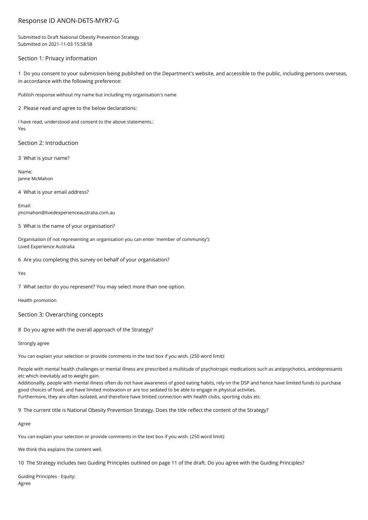# Response ID ANON-D6TS-MYR7-G

Submitted to Draft National Obesity Prevention Strategy Submitted on 2021-11-03 15:58:58

## Section 1: Privacy information

1 Do you consent to your submission being published on the Department's website, and accessible to the public, including persons overseas, in accordance with the following preference:

Publish response without my name but including my organisation's name

2 Please read and agree to the below declarations:

I have read, understood and consent to the above statements.: Yes

Section 2: Introduction

3 What is your name?

Name: Janne McMahon

4 What is your email address?

Email: jmcmahon@livedexperienceaustralia.com.au

5 What is the name of your organisation?

Organisation (if not representing an organisation you can enter 'member of community'): Lived Experience Australia

6 Are you completing this survey on behalf of your organisation?

Yes

7 What sector do you represent? You may select more than one option.

Health promotion

Section 3: Overarching concepts

8 Do you agree with the overall approach of the Strategy?

Strongly agree

You can explain your selection or provide comments in the text box if you wish. (250 word limit):

People with mental health challenges or mental illness are prescribed a multitude of psychotropic medications such as antipsychotics, antidepressants etc which inevitably ad to weight gain.

Additionallly, people with mental illness often do not have awareness of good eating habits, rely on the DSP and hence have limited funds to purchase good choices of food, and have limited motivation or are too sedated to be able to engage in physical activites.

Furthermore, they are often isolated, and therefore have limited connection with health clubs, sporting clubs etc.

9 The current title is National Obesity Prevention Strategy. Does the title reflect the content of the Strategy?

Agree

You can explain your selection or provide comments in the text box if you wish. (250 word limit):

We think this explains the content well.

10 The Strategy includes two Guiding Principles outlined on page 11 of the draft. Do you agree with the Guiding Principles?

Guiding Principles - Equity: Agree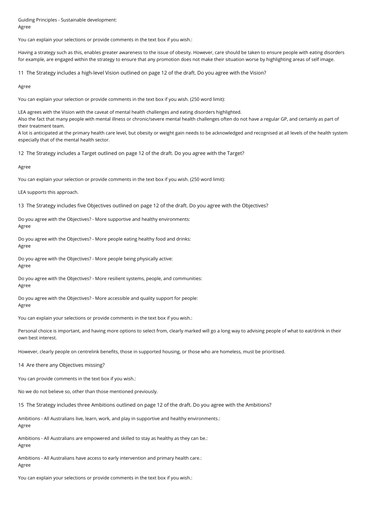Guiding Principles - Sustainable development: Agree

You can explain your selections or provide comments in the text box if you wish.:

Having a strategy such as this, enables greater awareness to the issue of obesity. However, care should be taken to ensure people with eating disorders for example, are engaged within the strategy to ensure that any promotion does not make their situation worse by highlighting areas of self image.

11 The Strategy includes a high-level Vision outlined on page 12 of the draft. Do you agree with the Vision?

Agree

You can explain your selection or provide comments in the text box if you wish. (250 word limit):

LEA agrees with the Vision with the caveat of mental health challenges and eating disorders highlighted. Also the fact that many people with mental illness or chronic/severe mental health challenges often do not have a regular GP, and certainly as part of their treatment team.

A lot is anticipated at the primary health care level, but obesity or weight gain needs to be acknowledged and recognised at all levels of the health system especially that of the mental health sector.

12 The Strategy includes a Target outlined on page 12 of the draft. Do you agree with the Target?

Agree

You can explain your selection or provide comments in the text box if you wish. (250 word limit):

LEA supports this approach.

13 The Strategy includes five Objectives outlined on page 12 of the draft. Do you agree with the Objectives?

Do you agree with the Objectives? - More supportive and healthy environments: Agree

Do you agree with the Objectives? - More people eating healthy food and drinks: Agree

Do you agree with the Objectives? - More people being physically active: Agree

Do you agree with the Objectives? - More resilient systems, people, and communities: Agree

Do you agree with the Objectives? - More accessible and quality support for people: Agree

You can explain your selections or provide comments in the text box if you wish.:

Personal choice is important, and having more options to select from, clearly marked will go a long way to advising people of what to eat/drink in their own best interest.

However, clearly people on centrelink benefits, those in supported housing, or those who are homeless, must be prioritised.

14 Are there any Objectives missing?

You can provide comments in the text box if you wish.:

No we do not believe so, other than those mentioned previously.

15 The Strategy includes three Ambitions outlined on page 12 of the draft. Do you agree with the Ambitions?

Ambitions - All Australians live, learn, work, and play in supportive and healthy environments.: Agree

Ambitions - All Australians are empowered and skilled to stay as healthy as they can be.: Agree

Ambitions - All Australians have access to early intervention and primary health care.: Agree

You can explain your selections or provide comments in the text box if you wish.: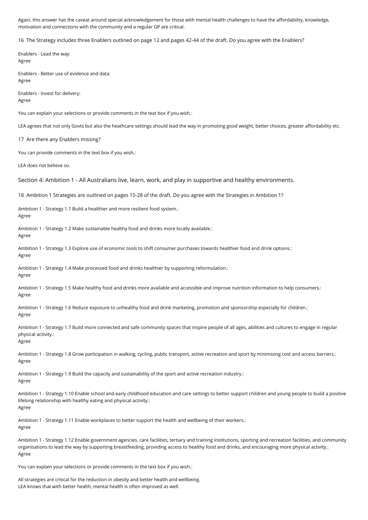Again, this answer has the caveat around special acknowledgement for those with mental health challenges to have the affordability, knowledge, motivation and connections with the community and a regular GP are critical.

16 The Strategy includes three Enablers outlined on page 12 and pages 42-44 of the draft. Do you agree with the Enablers?

Enablers - Lead the way: Agree Enablers - Better use of evidence and data: Agree Enablers - Invest for delivery: Agree You can explain your selections or provide comments in the text box if you wish.: LEA agrees that not only Govts but also the heathcare settings should lead the way in promoting good weight, better choices, greater affordability etc. 17 Are there any Enablers missing? You can provide comments in the text box if you wish.: LEA does not believe so. Section 4: Ambition 1 - All Australians live, learn, work, and play in supportive and healthy environments. 18 Ambition 1 Strategies are outlined on pages 15-28 of the draft. Do you agree with the Strategies in Ambition 1? Ambition 1 - Strategy 1.1 Build a healthier and more resilient food system.: Agree Ambition 1 - Strategy 1.2 Make sustainable healthy food and drinks more locally available.: Agree Ambition 1 - Strategy 1.3 Explore use of economic tools to shift consumer purchases towards healthier food and drink options.: Agree Ambition 1 - Strategy 1.4 Make processed food and drinks healthier by supporting reformulation.: Agree Ambition 1 - Strategy 1.5 Make healthy food and drinks more available and accessible and improve nutrition information to help consumers.: Agree Ambition 1 - Strategy 1.6 Reduce exposure to unhealthy food and drink marketing, promotion and sponsorship especially for children.: Agree Ambition 1 - Strategy 1.7 Build more connected and safe community spaces that inspire people of all ages, abilities and cultures to engage in regular physical activity.: Agree Ambition 1 - Strategy 1.8 Grow participation in walking, cycling, public transport, active recreation and sport by minimising cost and access barriers.: Agree Ambition 1 - Strategy 1.9 Build the capacity and sustainability of the sport and active recreation industry.: Agree Ambition 1 - Strategy 1.10 Enable school and early childhood education and care settings to better support children and young people to build a positive lifelong relationship with healthy eating and physical activity.: Agree Ambition 1 - Strategy 1.11 Enable workplaces to better support the health and wellbeing of their workers.: Agree Ambition 1 - Strategy 1.12 Enable government agencies, care facilities, tertiary and training institutions, sporting and recreation facilities, and community organisations to lead the way by supporting breastfeeding, providing access to healthy food and drinks, and encouraging more physical activity.: Agree

You can explain your selections or provide comments in the text box if you wish.:

All strategies are critical for the reduction in obesity and better health and wellbeing. LEA knows that with better health, mental health is often improved as well.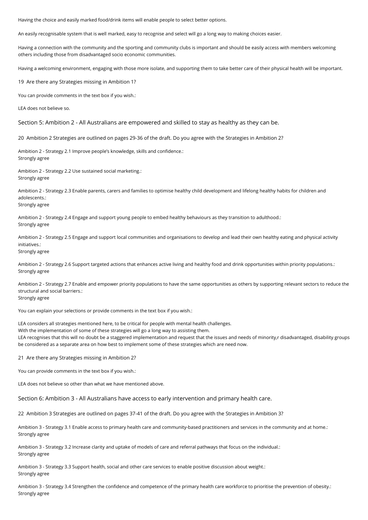Having the choice and easily marked food/drink items will enable people to select better options.

An easily recognisable system that is well marked, easy to recognise and select will go a long way to making choices easier.

Having a connection with the community and the sporting and community clubs is important and should be easily access with members welcoming others including those from disadvantaged socio economic communities.

Having a welcoming environment, engaging with those more isolate, and supporting them to take better care of their physical health will be important.

19 Are there any Strategies missing in Ambition 1?

You can provide comments in the text box if you wish.:

LEA does not believe so.

Section 5: Ambition 2 - All Australians are empowered and skilled to stay as healthy as they can be.

20 Ambition 2 Strategies are outlined on pages 29-36 of the draft. Do you agree with the Strategies in Ambition 2?

Ambition 2 - Strategy 2.1 Improve people's knowledge, skills and confidence.: Strongly agree

Ambition 2 - Strategy 2.2 Use sustained social marketing.: Strongly agree

Ambition 2 - Strategy 2.3 Enable parents, carers and families to optimise healthy child development and lifelong healthy habits for children and adolescents.: Strongly agree

Ambition 2 - Strategy 2.4 Engage and support young people to embed healthy behaviours as they transition to adulthood.: Strongly agree

Ambition 2 - Strategy 2.5 Engage and support local communities and organisations to develop and lead their own healthy eating and physical activity initiatives.:

Strongly agree

Ambition 2 - Strategy 2.6 Support targeted actions that enhances active living and healthy food and drink opportunities within priority populations.: Strongly agree

Ambition 2 - Strategy 2.7 Enable and empower priority populations to have the same opportunities as others by supporting relevant sectors to reduce the structural and social barriers.: Strongly agree

You can explain your selections or provide comments in the text box if you wish.:

LEA considers all strategies mentioned here, to be critical for people with mental health challenges. With the implementation of some of these strategies will go a long way to assisting them. LEA recognises that this will no doubt be a staggered implementation and request that the issues and needs of minority,r disadvantaged, disability groups be considered as a separate area on how best to implement some of these strategies which are need now.

21 Are there any Strategies missing in Ambition 2?

You can provide comments in the text box if you wish.:

LEA does not believe so other than what we have mentioned above.

Section 6: Ambition 3 - All Australians have access to early intervention and primary health care.

22 Ambition 3 Strategies are outlined on pages 37-41 of the draft. Do you agree with the Strategies in Ambition 3?

Ambition 3 - Strategy 3.1 Enable access to primary health care and community-based practitioners and services in the community and at home.: Strongly agree

Ambition 3 - Strategy 3.2 Increase clarity and uptake of models of care and referral pathways that focus on the individual.: Strongly agree

Ambition 3 - Strategy 3.3 Support health, social and other care services to enable positive discussion about weight.: Strongly agree

Ambition 3 - Strategy 3.4 Strengthen the confidence and competence of the primary health care workforce to prioritise the prevention of obesity.: Strongly agree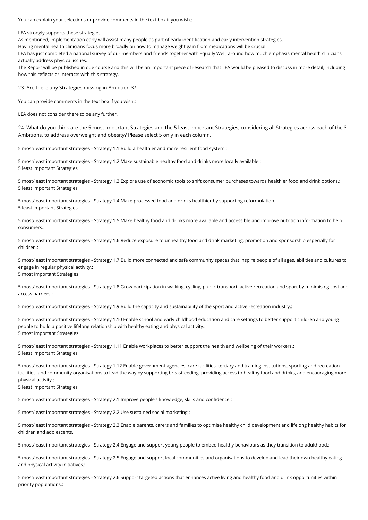You can explain your selections or provide comments in the text box if you wish.:

LEA strongly supports these strategies.

As mentioned, implementation early will assist many people as part of early identification and early intervention strategies.

Having mental health clinicians focus more broadly on how to manage weight gain from medications will be crucial.

LEA has just completed a national survey of our members and friends together with Equally Well, around how much emphasis mental health clinicians actually address physical issues.

The Report will be published in due course and this will be an important piece of research that LEA would be pleased to discuss in more detail, including how this reflects or interacts with this strategy.

23 Are there any Strategies missing in Ambition 3?

You can provide comments in the text box if you wish.:

LEA does not consider there to be any further.

24 What do you think are the 5 most important Strategies and the 5 least important Strategies, considering all Strategies across each of the 3 Ambitions, to address overweight and obesity? Please select 5 only in each column.

5 most/least important strategies - Strategy 1.1 Build a healthier and more resilient food system.:

5 most/least important strategies - Strategy 1.2 Make sustainable healthy food and drinks more locally available.: 5 least important Strategies

5 most/least important strategies - Strategy 1.3 Explore use of economic tools to shift consumer purchases towards healthier food and drink options.: 5 least important Strategies

5 most/least important strategies - Strategy 1.4 Make processed food and drinks healthier by supporting reformulation.: 5 least important Strategies

5 most/least important strategies - Strategy 1.5 Make healthy food and drinks more available and accessible and improve nutrition information to help consumers.:

5 most/least important strategies - Strategy 1.6 Reduce exposure to unhealthy food and drink marketing, promotion and sponsorship especially for children.:

5 most/least important strategies - Strategy 1.7 Build more connected and safe community spaces that inspire people of all ages, abilities and cultures to engage in regular physical activity.: 5 most important Strategies

5 most/least important strategies - Strategy 1.8 Grow participation in walking, cycling, public transport, active recreation and sport by minimising cost and access barriers.:

5 most/least important strategies - Strategy 1.9 Build the capacity and sustainability of the sport and active recreation industry.:

5 most/least important strategies - Strategy 1.10 Enable school and early childhood education and care settings to better support children and young people to build a positive lifelong relationship with healthy eating and physical activity.: 5 most important Strategies

5 most/least important strategies - Strategy 1.11 Enable workplaces to better support the health and wellbeing of their workers.: 5 least important Strategies

5 most/least important strategies - Strategy 1.12 Enable government agencies, care facilities, tertiary and training institutions, sporting and recreation facilities, and community organisations to lead the way by supporting breastfeeding, providing access to healthy food and drinks, and encouraging more physical activity.:

5 least important Strategies

5 most/least important strategies - Strategy 2.1 Improve people's knowledge, skills and confidence.:

5 most/least important strategies - Strategy 2.2 Use sustained social marketing.:

5 most/least important strategies - Strategy 2.3 Enable parents, carers and families to optimise healthy child development and lifelong healthy habits for children and adolescents.:

5 most/least important strategies - Strategy 2.4 Engage and support young people to embed healthy behaviours as they transition to adulthood.:

5 most/least important strategies - Strategy 2.5 Engage and support local communities and organisations to develop and lead their own healthy eating and physical activity initiatives.:

5 most/least important strategies - Strategy 2.6 Support targeted actions that enhances active living and healthy food and drink opportunities within priority populations.: